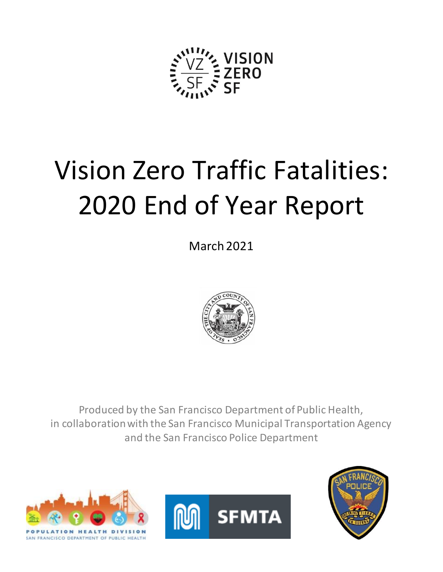

# Vision Zero Traffic Fatalities: 2020 End of Year Report

March2021



Produced by the San Francisco Department of Public Health, in collaboration with the San Francisco Municipal Transportation Agency and the San Francisco Police Department





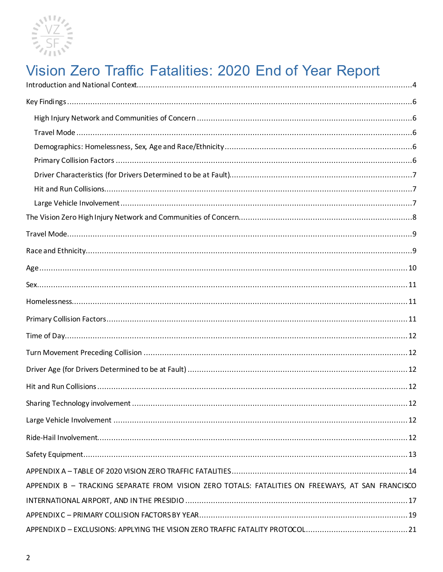

# Vision Zero Traffic Fatalities: 2020 End of Year Report

| 12                                                                                               |
|--------------------------------------------------------------------------------------------------|
|                                                                                                  |
|                                                                                                  |
|                                                                                                  |
|                                                                                                  |
| APPENDIX B - TRACKING SEPARATE FROM VISION ZERO TOTALS: FATALITIES ON FREEWAYS, AT SAN FRANCISCO |
|                                                                                                  |
|                                                                                                  |
|                                                                                                  |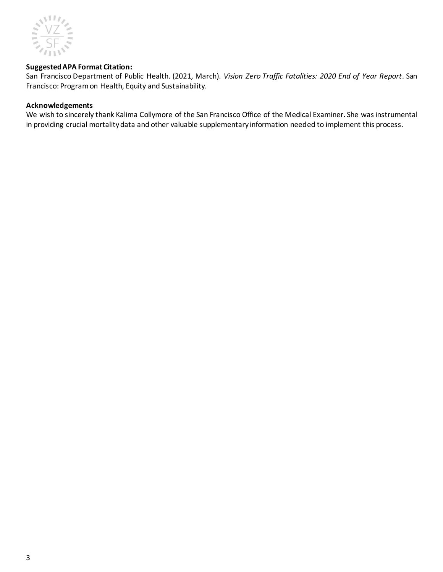

#### **Suggested APA Format Citation:**

San Francisco Department of Public Health. (2021, March). *Vision Zero Traffic Fatalities: 2020 End of Year Report*. San Francisco: Program on Health, Equity and Sustainability.

#### **Acknowledgements**

We wish to sincerely thank Kalima Collymore of the San Francisco Office of the Medical Examiner. She was instrumental in providing crucial mortality data and other valuable supplementary information needed to implement this process.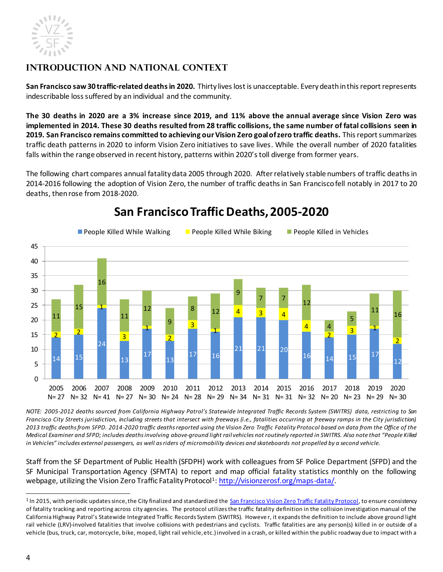

# <span id="page-3-0"></span>**Introduction and National Context**

**San Francisco saw 30 traffic-related deaths in 2020.** Thirty lives lost is unacceptable. Every death in this report represents indescribable loss suffered by an individual and the community.

**The 30 deaths in 2020 are a 3% increase since 2019, and 11% above the annual average since Vision Zero was implemented in 2014. These 30 deaths resulted from 28 traffic collisions, the same number of fatal collisions seen in 2019. San Francisco remains committed to achieving our Vision Zero goal of zero traffic deaths.** This report summarizes traffic death patterns in 2020 to inform Vision Zero initiatives to save lives. While the overall number of 2020 fatalities falls within the range observed in recent history, patterns within 2020's toll diverge from former years.

The following chart compares annual fatality data 2005 through 2020. After relatively stable numbers of traffic deaths in 2014-2016 following the adoption of Vision Zero, the number of traffic deaths in San Francisco fell notably in 2017 to 20 deaths, then rose from 2018-2020.



# **San Francisco Traffic Deaths, 2005-2020**

*NOTE: 2005-2012 deaths sourced from California Highway Patrol's Statewide Integrated Traffic Records System (SWITRS) data, restricting to San Francisco City Streets jurisdiction, including streets that intersect with freeways (i.e., fatalities occurring at freeway ramps in the City jurisdiction). 2013 traffic deaths from SFPD. 2014-2020 traffic deaths reported using the Vision Zero Traffic Fatality Protocol based on data from the Office of the Medical Examiner and SFPD; includes deaths involving above-ground light rail vehicles not routinely reported in SWITRS. Also note that "People Killed in Vehicles" includes external passengers, as well as riders of micromobility devices and skateboards not propelled by a second vehicle.*

Staff from the SF Department of Public Health (SFDPH) work with colleagues from SF Police Department (SFPD) and the SF Municipal Transportation Agency (SFMTA) to report and map official fatality statistics monthly on the following webpage, utilizing the Vision Zero Traffic Fatality Protocol<sup>1</sup>: <u>http://visionzerosf.org/maps-data/</u>.

<sup>&</sup>lt;sup>1</sup> In 2015, with periodic updates since, the City finalized and standardized th[e San Francisco Vision Zero Traffic Fatality Protocol](https://www.sfdph.org/dph/files/EHSdocs/PHES/VisionZero/Vision_Zero_Traffic_Fatality_Protocol.pdf), to ensure consistency of fatality tracking and reporting across city agencies. The protocol utilizes the traffic fatality definition in the collision investigation manual of the California Highway Patrol's Statewide Integrated Traffic Records System (SWITRS). Howeve r, it expands the definition to include above ground light rail vehicle (LRV)-involved fatalities that involve collisions with pedestrians and cyclists. Traffic fatalities are any person(s) killed in or outside of a vehicle (bus, truck, car, motorcycle, bike, moped, light rail vehicle, etc.) involved in a crash, or killed within the public roadway due to impact with a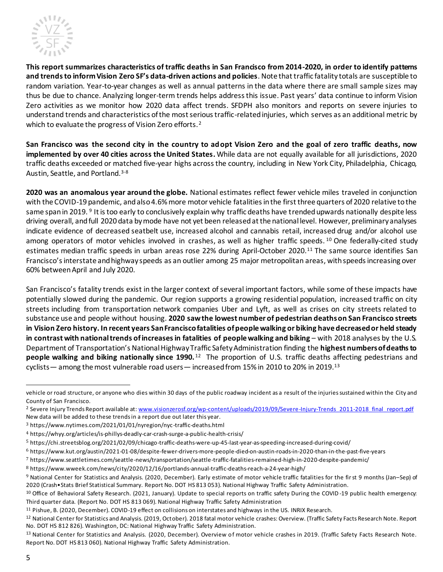

**This report summarizes characteristics of traffic deaths in San Francisco from 2014-2020, in order to identify patterns and trends to inform Vision Zero SF's data-driven actions and policies**. Note that traffic fatality totals are susceptible to random variation. Year-to-year changes as well as annual patterns in the data where there are small sample sizes may thus be due to chance. Analyzing longer-term trends helps address this issue. Past years' data continue to inform Vision Zero activities as we monitor how 2020 data affect trends. SFDPH also monitors and reports on severe injuries to understand trends and characteristics of the most serious traffic-related injuries, which serves as an additional metric by which to evaluate the progress of Vision Zero efforts.<sup>2</sup>

**San Francisco was the second city in the country to adopt Vision Zero and the goal of zero traffic deaths, now implemented by over 40 cities across the United States.** While data are not equally available for all jurisdictions, 2020 traffic deaths exceeded or matched five-year highs across the country, including in New York City, Philadelphia, Chicago, Austin, Seattle, and Portland.<sup>3-8</sup>

**2020 was an anomalous year around the globe.** National estimates reflect fewer vehicle miles traveled in conjunction with the COVID-19 pandemic, and also 4.6% more motor vehicle fatalities in the first three quarters of 2020 relative to the same span in 2019. <sup>9</sup> It is too early to conclusively explain why traffic deaths have trended upwards nationally despite less driving overall, and full 2020 data by mode have not yet been released at the national level. However, preliminary analyses indicate evidence of decreased seatbelt use, increased alcohol and cannabis retail, increased drug and/or alcohol use among operators of motor vehicles involved in crashes, as well as higher traffic speeds.  $10$  One federally-cited study estimates median traffic speeds in urban areas rose 22% during April-October 2020.<sup>11</sup> The same source identifies San Francisco's interstate and highway speeds as an outlier among 25 major metropolitan areas, with speeds increasing over 60% betweenApril and July 2020.

San Francisco's fatality trends exist in the larger context of several important factors, while some of these impacts have potentially slowed during the pandemic. Our region supports a growing residential population, increased traffic on city streets including from transportation network companies Uber and Lyft, as well as crises on city streets related to substance use and people without housing. **2020 saw the lowest number of pedestrian deaths on San Francisco streets in Vision Zero history. In recent years San Francisco fatalities ofpeople walking or biking have decreased or held steady in contrast with national trends of increases in fatalities of people walking and biking** – with 2018 analyses by the U.S. Department of Transportation's National Highway Traffic Safety Administration finding the **highest numbers of deaths to people walking and biking nationally since 1990.** <sup>12</sup> The proportion of U.S. traffic deaths affecting pedestrians and cyclists— among the most vulnerable road users— increased from 15% in 2010 to 20% in 2019.<sup>13</sup>

vehicle or road structure, or anyone who dies within 30 days of the public roadway incident as a result of the injuries sustained within the City and County of San Francisco.

<sup>&</sup>lt;sup>2</sup> Severe Injury Trends Report available at: [www.visionzerosf.org/wp-content/uploads/2019/09/Severe-Injury-Trends\\_2011-2018\\_final\\_report.pdf](file://///fox-fp01/fox-gis$/Transportation%20Injury%20Surveillance%20System/Fatalities/Monthly%20Fatality%20Meetings/2019Fatalities/2019%20EOY%20Fatality%20Report/www.visionzerosf.org/wp-content/uploads/2019/09/Severe-Injury-Trends_2011-2018_final_report.pdf) New data will be added to these trends in a report due out later this year.

<sup>3</sup> https://www.nytimes.com/2021/01/01/nyregion/nyc-traffic-deaths.html

<sup>4</sup> https://whyy.org/articles/is-phillys-deadly-car-crash-surge-a-public-health-crisis/

<sup>5</sup> https://chi.streetsblog.org/2021/02/09/chicago-traffic-deaths-were-up-45-last-year-as-speeding-increased-during-covid/

<sup>6</sup> https://www.kut.org/austin/2021-01-08/despite-fewer-drivers-more-people-died-on-austin-roads-in-2020-than-in-the-past-five-years

<sup>7</sup> https://www.seattletimes.com/seattle-news/transportation/seattle-traffic-fatalities-remained-high-in-2020-despite-pandemic/

<sup>8</sup> https://www.wweek.com/news/city/2020/12/16/portlands-annual-traffic-deaths-reach-a-24-year-high/

<sup>9</sup> National Center for Statistics and Analysis. (2020, December). Early estimate of motor vehicle traffic fatalities for the first 9 months (Jan–Sep) of 2020 (Crash•Stats Brief Statistical Summary. Report No. DOT HS 813 053). National Highway Traffic Safety Administration.

 $10$  Office of Behavioral Safety Research. (2021, January). Update to special reports on traffic safety During the COVID-19 public health emergency: Third quarter data. (Report No. DOT HS 813 069). National Highway Traffic Safety Administration

<sup>11</sup> Pishue, B. (2020, December). COVID-19 effect on collisions on interstates and highways in the US. INRIX Research.

<sup>12</sup> National Center for Statistics and Analysis. (2019, October). 2018 fatal motor vehicle crashes: Overview. (Traffic Safety Facts Research Note. Report No. DOT HS 812 826). Washington, DC: National Highway Traffic Safety Administration.

<sup>&</sup>lt;sup>13</sup> National Center for Statistics and Analysis. (2020, December). Overview of motor vehicle crashes in 2019. (Traffic Safety Facts Research Note. Report No. DOT HS 813 060). National Highway Traffic Safety Administration.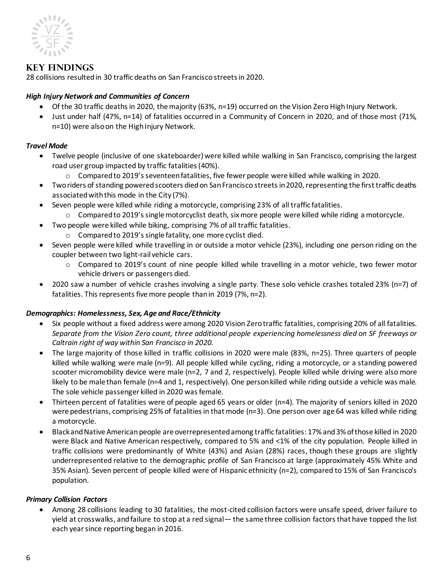

# <span id="page-5-0"></span>**Key Findings**

28 collisions resulted in 30 traffic deaths on San Francisco streets in 2020.

#### <span id="page-5-1"></span>*High Injury Network and Communities of Concern*

- Of the 30 traffic deaths in 2020, the majority (63%, n=19) occurred on the Vision Zero High Injury Network.
- Just under half (47%, n=14) of fatalities occurred in a Community of Concern in 2020, and of those most (71%, n=10) were also on the High Injury Network.

#### <span id="page-5-2"></span>*Travel Mode*

- Twelve people (inclusive of one skateboarder) were killed while walking in San Francisco, comprising the largest road user group impacted by traffic fatalities (40%).
	- o Compared to 2019's seventeenfatalities, five fewer people were killed while walking in 2020.
- Two riders of standing powered scooters died on San Francisco streets in 2020, representing the first traffic deaths associated with this mode in the City (7%).
- Seven people were killed while riding a motorcycle, comprising 23% of all traffic fatalities.
	- $\circ$  Compared to 2019's single motorcyclist death, six more people were killed while riding a motorcycle.
	- Two people were killed while biking, comprising 7% of all traffic fatalities.
		- o Compared to 2019's single fatality, one more cyclist died.
- Seven people were killed while travelling in or outside a motor vehicle (23%), including one person riding on the coupler between two light-rail vehicle cars.
	- o Compared to 2019's count of nine people killed while travelling in a motor vehicle, two fewer motor vehicle drivers or passengers died.
- 2020 saw a number of vehicle crashes involving a single party. These solo vehicle crashes totaled 23% (n=7) of fatalities. This represents five more people than in 2019 (7%, n=2).

#### <span id="page-5-3"></span>*Demographics: Homelessness, Sex, Age and Race/Ethnicity*

- Six people without a fixed address were among 2020 Vision Zero traffic fatalities, comprising 20% of all fatalities. *Separate from the Vision Zero count, three additional people experiencing homelessness died on SF freeways or Caltrain right of way within San Francisco in 2020.*
- The large majority of those killed in traffic collisions in 2020 were male (83%, n=25). Three quarters of people killed while walking were male (n=9). All people killed while cycling, riding a motorcycle, or a standing powered scooter micromobility device were male (n=2, 7 and 2, respectively). People killed while driving were also more likely to be male than female (n=4 and 1, respectively). One person killed while riding outside a vehicle was male. The sole vehicle passenger killed in 2020 was female.
- Thirteen percent of fatalities were of people aged 65 years or older (n=4). The majority of seniors killed in 2020 were pedestrians, comprising 25% of fatalities in that mode (n=3). One person over age 64 was killed while riding a motorcycle.
- Black and Native American people are overrepresented among traffic fatalities: 17% and 3% of those killed in 2020 were Black and Native American respectively, compared to 5% and <1% of the city population. People killed in traffic collisions were predominantly of White (43%) and Asian (28%) races, though these groups are slightly underrepresented relative to the demographic profile of San Francisco at large (approximately 45% White and 35% Asian). Seven percent of people killed were of Hispanic ethnicity (n=2), compared to 15% of San Francisco's population.

#### <span id="page-5-4"></span>*Primary Collision Factors*

• Among 28 collisions leading to 30 fatalities, the most-cited collision factors were unsafe speed, driver failure to yield at crosswalks, and failure to stop at a red signal— the same three collision factors that have topped the list each year since reporting began in 2016.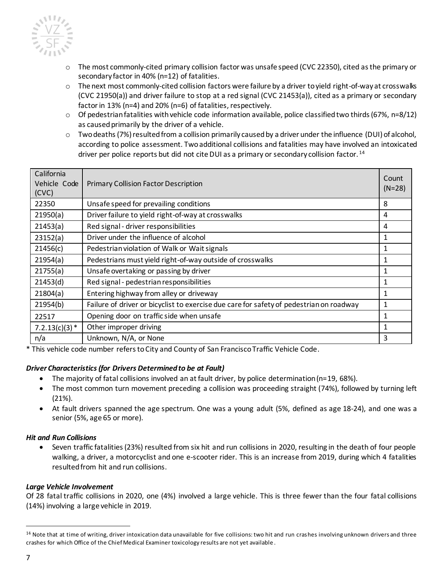

- o The most commonly-cited primary collision factor was unsafe speed (CVC 22350), cited as the primary or secondary factor in 40% (n=12) of fatalities.
- $\circ$  The next most commonly-cited collision factors were failure by a driver to yield right-of-way at crosswalks (CVC 21950(a)) and driver failure to stop at a red signal (CVC 21453(a)), cited as a primary or secondary factor in 13% (n=4) and 20% (n=6) of fatalities, respectively.
- $\circ$  Of pedestrian fatalities with vehicle code information available, police classified two thirds (67%, n=8/12) as caused primarily by the driver of a vehicle.
- o Two deaths (7%) resulted from a collision primarily caused by a driver under the influence (DUI) of alcohol, according to police assessment. Two additional collisions and fatalities may have involved an intoxicated driver per police reports but did not cite DUI as a primary or secondary collision factor.<sup>14</sup>

| California<br>Vehicle Code<br>(CVC) | <b>Primary Collision Factor Description</b>                                             | Count<br>$(N=28)$ |
|-------------------------------------|-----------------------------------------------------------------------------------------|-------------------|
| 22350                               | Unsafe speed for prevailing conditions                                                  | 8                 |
| 21950(a)                            | Driver failure to yield right-of-way at crosswalks                                      | 4                 |
| 21453(a)                            | Red signal - driver responsibilities                                                    | 4                 |
| 23152(a)                            | Driver under the influence of alcohol                                                   | 1                 |
| 21456(c)                            | Pedestrian violation of Walk or Wait signals                                            | 1                 |
| 21954(a)                            | Pedestrians must yield right-of-way outside of crosswalks                               | 1                 |
| 21755(a)                            | Unsafe overtaking or passing by driver                                                  | 1                 |
| 21453(d)                            | Red signal - pedestrian responsibilities                                                | 1                 |
| 21804(a)                            | Entering highway from alley or driveway                                                 | 1                 |
| 21954(b)                            | Failure of driver or bicyclist to exercise due care for safety of pedestrian on roadway | 1                 |
| 22517                               | Opening door on traffic side when unsafe                                                | 1                 |
| $7.2.13(c)(3)*$                     | Other improper driving                                                                  | 1                 |
| n/a                                 | Unknown, N/A, or None                                                                   | 3                 |

\* This vehicle code number refers to City and County of San Francisco Traffic Vehicle Code.

#### <span id="page-6-0"></span>*Driver Characteristics (for Drivers Determined to be at Fault)*

- The majority of fatal collisions involved an at fault driver, by police determination (n=19, 68%).
- The most common turn movement preceding a collision was proceeding straight (74%), followed by turning left (21%).
- At fault drivers spanned the age spectrum. One was a young adult (5%, defined as age 18-24), and one was a senior (5%, age 65 or more).

#### <span id="page-6-1"></span>*Hit and Run Collisions*

• Seven traffic fatalities (23%) resulted from six hit and run collisions in 2020, resulting in the death of four people walking, a driver, a motorcyclist and one e-scooter rider. This is an increase from 2019, during which 4 fatalities resulted from hit and run collisions.

#### <span id="page-6-2"></span>*Large Vehicle Involvement*

Of 28 fatal traffic collisions in 2020, one (4%) involved a large vehicle. This is three fewer than the four fatal collisions (14%) involving a large vehicle in 2019.

<sup>&</sup>lt;sup>14</sup> Note that at time of writing, driver intoxication data unavailable for five collisions: two hit and run crashes involving unknown drivers and three crashes for which Office of the Chief Medical Examiner toxicology results are not yet available .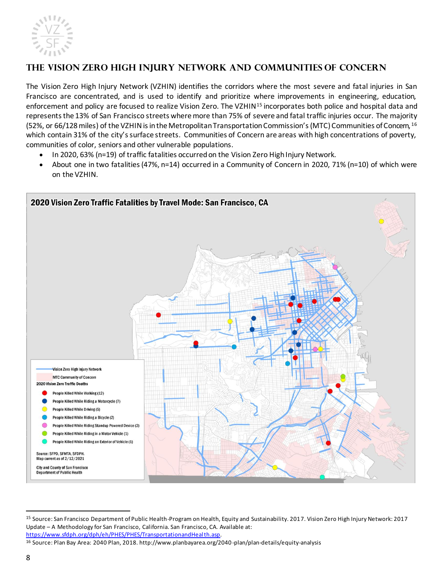

# <span id="page-7-0"></span>**The Vision Zero High Injury Network and Communities of Concern**

The Vision Zero High Injury Network (VZHIN) identifies the corridors where the most severe and fatal injuries in San Francisco are concentrated, and is used to identify and prioritize where improvements in engineering, education, enforcement and policy are focused to realize Vision Zero. The VZHIN<sup>15</sup> incorporates both police and hospital data and represents the 13% of San Francisco streets where more than 75% of severe and fatal traffic injuries occur. The majority (52%, or 66/128 miles) of the VZHIN is in the Metropolitan Transportation Commission's (MTC) Communities of Concern, 16 which contain 31% of the city's surface streets. Communities of Concern are areas with high concentrations of poverty, communities of color, seniors and other vulnerable populations.

- In 2020, 63% (n=19) of traffic fatalities occurred on the Vision Zero High Injury Network.
- About one in two fatalities (47%, n=14) occurred in a Community of Concern in 2020, 71% (n=10) of which were on the VZHIN.



<sup>15</sup> Source: San Francisco Department of Public Health-Program on Health, Equity and Sustainability. 2017. Vision Zero High Injury Network: 2017 Update – A Methodology for San Francisco, California. San Francisco, CA. Available at: [https://www.sfdph.org/dph/eh/PHES/PHES/TransportationandHealth.asp.](https://www.sfdph.org/dph/eh/PHES/PHES/TransportationandHealth.asp)

<sup>16</sup> Source: Plan Bay Area: 2040 Plan, 2018. http://www.planbayarea.org/2040 -plan/plan-details/equity-analysis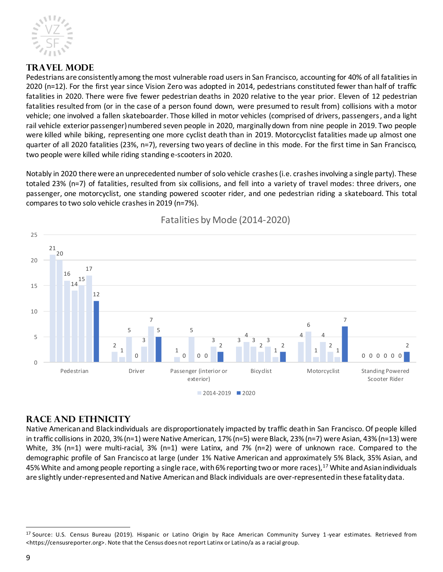

# <span id="page-8-0"></span>**Travel Mode**

Pedestrians are consistently among the most vulnerable road users in San Francisco, accounting for 40% of all fatalities in 2020 (n=12). For the first year since Vision Zero was adopted in 2014, pedestrians constituted fewer than half of traffic fatalities in 2020. There were five fewer pedestrian deaths in 2020 relative to the year prior. Eleven of 12 pedestrian fatalities resulted from (or in the case of a person found down, were presumed to result from) collisions with a motor vehicle; one involved a fallen skateboarder. Those killed in motor vehicles (comprised of drivers, passengers, and a light rail vehicle exterior passenger) numbered seven people in 2020, marginally down from nine people in 2019. Two people were killed while biking, representing one more cyclist death than in 2019. Motorcyclist fatalities made up almost one quarter of all 2020 fatalities (23%, n=7), reversing two years of decline in this mode. For the first time in San Francisco, two people were killed while riding standing e-scooters in 2020.

Notably in 2020 there were an unprecedented number of solo vehicle crashes (i.e. crashes involving a single party). These totaled 23% (n=7) of fatalities, resulted from six collisions, and fell into a variety of travel modes: three drivers, one passenger, one motorcyclist, one standing powered scooter rider, and one pedestrian riding a skateboard. This total compares to two solo vehicle crashes in 2019 (n=7%).



Fatalities by Mode (2014-2020)

# <span id="page-8-1"></span>**Race and Ethnicity**

Native American and Black individuals are disproportionately impacted by traffic death in San Francisco. Of people killed in traffic collisions in 2020, 3% (n=1) were Native American, 17% (n=5) were Black, 23% (n=7) were Asian, 43% (n=13) were White, 3% (n=1) were multi-racial, 3% (n=1) were Latinx, and 7% (n=2) were of unknown race. Compared to the demographic profile of San Francisco at large (under 1% Native American and approximately 5% Black, 35% Asian, and 45% White and among people reporting a single race, with 6% reporting two or more races), <sup>17</sup> White and Asian individuals are slightly under-representedand Native American and Black individuals are over-represented in these fatality data.

<sup>17</sup> Source: U.S. Census Bureau (2019). Hispanic or Latino Origin by Race American Community Survey 1-year estimates. Retrieved from <https://censusreporter.org>. Note that the Census does not report Latinx or Latino/a as a racial group.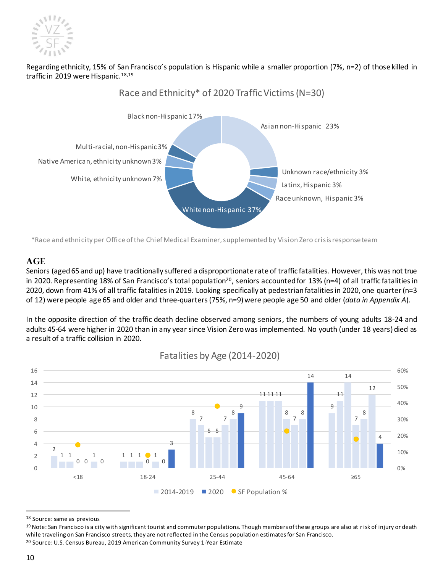

#### Regarding ethnicity, 15% of San Francisco's population is Hispanic while a smaller proportion (7%, n=2) of those killed in traffic in 2019 were Hispanic. 18,19



\*Race and ethnicity per Office of the Chief Medical Examiner, supplemented by Vision Zero crisis response team

#### <span id="page-9-0"></span>**Age**

Seniors (aged 65 and up) have traditionally suffered a disproportionate rate of traffic fatalities. However, this was not true in 2020. Representing 18% of San Francisco's total population<sup>20</sup>, seniors accounted for 13% (n=4) of all traffic fatalities in 2020, down from 41% of all traffic fatalities in 2019. Looking specifically at pedestrian fatalities in 2020, one quarter(n=3 of 12) were people age 65 and older and three-quarters(75%, n=9) were people age 50 and older (*data in Appendix A*).

In the opposite direction of the traffic death decline observed among seniors, the numbers of young adults 18-24 and adults 45-64 were higher in 2020 than in any year since Vision Zero was implemented. No youth (under 18 years) died as a result of a traffic collision in 2020.



#### Fatalities by Age (2014-2020)

<sup>18</sup> Source: same as previous

<sup>&</sup>lt;sup>19</sup> Note: San Francisco is a city with significant tourist and commuter populations. Though members of these groups are also at risk of injury or death while traveling on San Francisco streets, they are not reflected in the Census population estimates for San Francisco. <sup>20</sup> Source: U.S. Census Bureau, 2019 American Community Survey 1-Year Estimate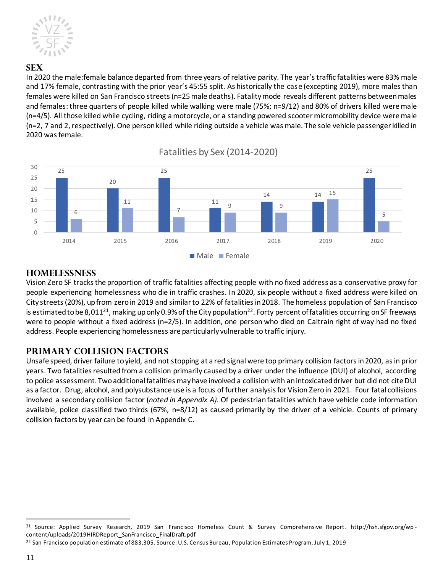![](_page_10_Picture_0.jpeg)

#### <span id="page-10-0"></span>**Sex**

In 2020 the male:female balance departed from three years of relative parity. The year's traffic fatalities were 83% male and 17% female, contrasting with the prior year's 45:55 split. As historically the case (excepting 2019), more males than females were killed on San Francisco streets(n=25male deaths). Fatality mode reveals different patterns between males and females: three quarters of people killed while walking were male (75%; n=9/12) and 80% of drivers killed were male (n=4/5). All those killed while cycling, riding a motorcycle, or a standing powered scooter micromobility device were male (n=2, 7 and 2, respectively). One person killed while riding outside a vehicle was male. The sole vehicle passenger killed in 2020 was female.

![](_page_10_Figure_3.jpeg)

# Fatalities by Sex (2014-2020)

#### <span id="page-10-1"></span>**Homelessness**

Vision Zero SF tracksthe proportion of traffic fatalities affecting people with no fixed address as a conservative proxy for people experiencing homelessness who die in traffic crashes. In 2020, six people without a fixed address were killed on City streets(20%), up from zeroin 2019 and similar to 22% of fatalities in 2018. The homeless population of San Francisco is estimated to be 8,011<sup>21</sup>, making up only 0.9% of the City population<sup>22</sup>. Forty percent of fatalities occurring on SF freeways were to people without a fixed address (n=2/5). In addition, one person who died on Caltrain right of way had no fixed address. People experiencing homelessness are particularly vulnerable to traffic injury.

# <span id="page-10-2"></span>**Primary Collision Factors**

Unsafe speed, driver failure to yield, and not stopping at a red signal were top primary collision factors in 2020, as in prior years. Two fatalities resulted from a collision primarily caused by a driver under the influence (DUI) of alcohol, according to police assessment. Two additional fatalities may have involved a collision with an intoxicated driver but did not cite DUI as a factor. Drug, alcohol, and polysubstance use is a focus of further analysis for Vision Zero in 2021. Four fatal collisions involved a secondary collision factor (*noted in Appendix A)*. Of pedestrianfatalities which have vehicle code information available, police classified two thirds (67%, n=8/12) as caused primarily by the driver of a vehicle. Counts of primary collision factors by year can be found in Appendix C.

<sup>21</sup> Source: Applied Survey Research, 2019 San Francisco Homeless Count & Survey Comprehensive Report. http://hsh.sfgov.org/wp content/uploads/2019HIRDReport\_SanFrancisco\_FinalDraft.pdf

<sup>&</sup>lt;sup>22</sup> San Francisco population estimate of 883,305. Source: U.S. Census Bureau, Population Estimates Program, July 1, 2019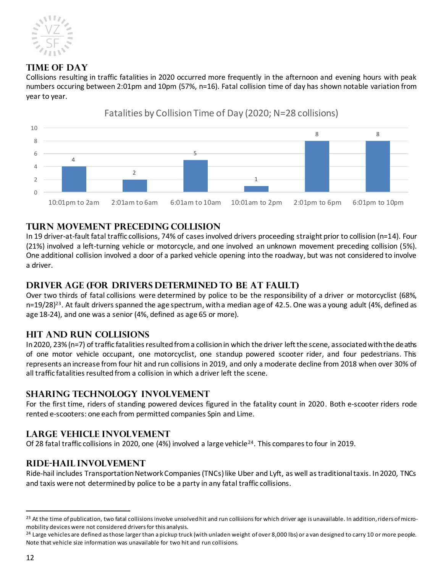![](_page_11_Picture_0.jpeg)

# <span id="page-11-0"></span>**Time of Day**

Collisions resulting in traffic fatalities in 2020 occurred more frequently in the afternoon and evening hours with peak numbers occuring between 2:01pm and 10pm (57%, n=16). Fatal collision time of day has shown notable variation from year to year.

![](_page_11_Figure_3.jpeg)

# Fatalities by Collision Time of Day (2020; N=28 collisions)

# <span id="page-11-1"></span>**Turn Movement Preceding Collision**

In 19 driver-at-fault fatal traffic collisions, 74% of cases involved drivers proceeding straight prior to collision (n=14). Four (21%) involved a left-turning vehicle or motorcycle, and one involved an unknown movement preceding collision (5%). One additional collision involved a door of a parked vehicle opening into the roadway, but was not considered to involve a driver.

# <span id="page-11-2"></span>**Driver Age (for Drivers Determined to be at Fault)**

Over two thirds of fatal collisions were determined by police to be the responsibility of a driver or motorcyclist (68%, n=19/28)<sup>23</sup>. At fault drivers spanned the age spectrum, with a median age of 42.5. One was a young adult (4%, defined as age 18-24), and one was a senior (4%, defined as age 65 or more).

# <span id="page-11-3"></span>**Hit and Run Collisions**

In 2020, 23% (n=7) of traffic fatalities resulted from a collision in which the driver left the scene, associated with the deaths of one motor vehicle occupant, one motorcyclist, one standup powered scooter rider, and four pedestrians. This represents an increase from four hit and run collisions in 2019, and only a moderate decline from 2018 when over 30% of all traffic fatalities resulted from a collision in which a driver left the scene.

# <span id="page-11-4"></span>**Sharing Technology involvement**

For the first time, riders of standing powered devices figured in the fatality count in 2020. Both e-scooter riders rode rented e-scooters: one each from permitted companies Spin and Lime.

# <span id="page-11-5"></span>**Large Vehicle Involvement**

Of 28 fatal traffic collisions in 2020, one (4%) involved a large vehicle<sup>24</sup>. This compares to four in 2019.

# <span id="page-11-6"></span>**Ride-Hail Involvement**

Ride-hail includes Transportation Network Companies (TNCs) like Uber and Lyft, as well as traditional taxis. In 2020, TNCs and taxis were not determined by police to be a party in any fatal traffic collisions.

<sup>&</sup>lt;sup>23</sup> At the time of publication, two fatal collisions involve unsolved hit and run collisions for which driver age is unavailable. In addition, riders of micromobility devices were not considered drivers for this analysis.

<sup>&</sup>lt;sup>24</sup> Large vehicles are defined as those larger than a pickup truck (with unladen weight of over 8,000 lbs) or a van designed to carry 10 or more people. Note that vehicle size information was unavailable for two hit and run collisions.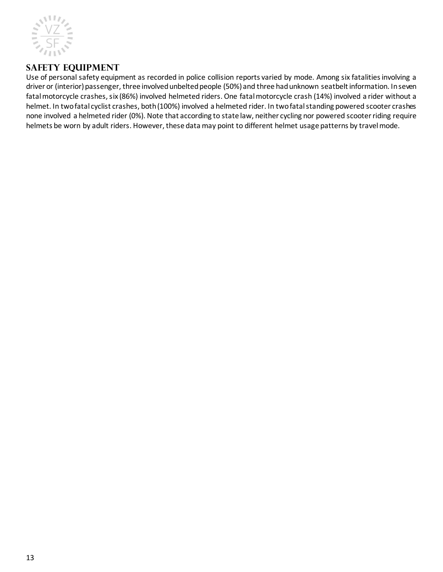![](_page_12_Picture_0.jpeg)

# <span id="page-12-0"></span>**Safety Equipment**

Use of personal safety equipment as recorded in police collision reports varied by mode. Among six fatalities involving a driver or (interior) passenger, three involved unbelted people (50%) and three had unknown seatbelt information. In seven fatal motorcycle crashes, six (86%) involved helmeted riders. One fatal motorcycle crash (14%) involved a rider without a helmet. In two fatal cyclist crashes, both (100%) involved a helmeted rider. In two fatal standing powered scooter crashes none involved a helmeted rider (0%). Note that according to state law, neither cycling nor powered scooter riding require helmets be worn by adult riders. However, these data may point to different helmet usage patterns by travel mode.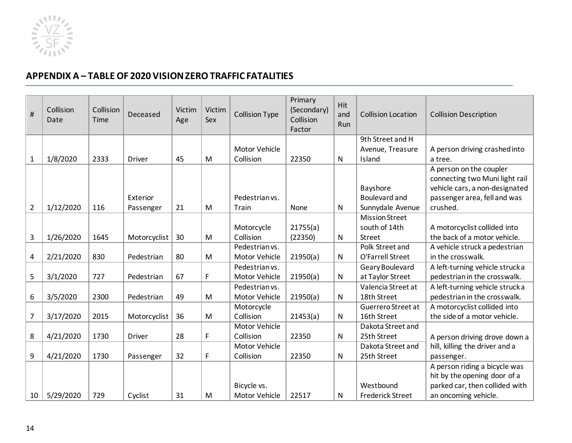![](_page_13_Picture_0.jpeg)

# **APPENDIX A – TABLE OF 2020 VISION ZERO TRAFFIC FATALITIES**

<span id="page-13-0"></span>

| #              | Collision<br>Date | Collision<br>Time | Deceased      | Victim<br>Age | Victim<br>Sex | <b>Collision Type</b> | Primary<br>(Secondary)<br>Collision<br>Factor | <b>Hit</b><br>and<br>Run | <b>Collision Location</b> | <b>Collision Description</b>    |
|----------------|-------------------|-------------------|---------------|---------------|---------------|-----------------------|-----------------------------------------------|--------------------------|---------------------------|---------------------------------|
|                |                   |                   |               |               |               |                       |                                               |                          | 9th Street and H          |                                 |
|                |                   |                   |               |               |               | Motor Vehicle         |                                               |                          | Avenue, Treasure          | A person driving crashed into   |
| $\mathbf{1}$   | 1/8/2020          | 2333              | <b>Driver</b> | 45            | M             | Collision             | 22350                                         | N                        | Island                    | a tree.                         |
|                |                   |                   |               |               |               |                       |                                               |                          |                           | A person on the coupler         |
|                |                   |                   |               |               |               |                       |                                               |                          |                           | connecting two Muni light rail  |
|                |                   |                   |               |               |               |                       |                                               |                          | Bayshore                  | vehicle cars, a non-designated  |
|                |                   |                   | Exterior      |               |               | Pedestrian vs.        |                                               |                          | <b>Boulevard and</b>      | passenger area, fell and was    |
| $\overline{2}$ | 1/12/2020         | 116               | Passenger     | 21            | M             | Train                 | None                                          | N                        | Sunnydale Avenue          | crushed.                        |
|                |                   |                   |               |               |               |                       |                                               |                          | <b>Mission Street</b>     |                                 |
|                |                   |                   |               |               |               | Motorcycle            | 21755(a)                                      |                          | south of 14th             | A motorcyclist collided into    |
| 3              | 1/26/2020         | 1645              | Motorcyclist  | 30            | M             | Collision             | (22350)                                       | $\mathsf{N}$             | <b>Street</b>             | the back of a motor vehicle.    |
|                |                   |                   |               |               |               | Pedestrian vs.        |                                               |                          | Polk Street and           | A vehicle struck a pedestrian   |
| $\overline{a}$ | 2/21/2020         | 830               | Pedestrian    | 80            | M             | Motor Vehicle         | 21950(a)                                      | $\mathsf{N}$             | O'Farrell Street          | in the crosswalk.               |
|                |                   |                   |               |               |               | Pedestrian vs.        |                                               |                          | Geary Boulevard           | A left-turning vehicle struck a |
| 5              | 3/1/2020          | 727               | Pedestrian    | 67            | F             | Motor Vehicle         | 21950(a)                                      | $\mathsf{N}$             | at Taylor Street          | pedestrian in the crosswalk.    |
|                |                   |                   |               |               |               | Pedestrian vs.        |                                               |                          | Valencia Street at        | A left-turning vehicle strucka  |
| 6              | 3/5/2020          | 2300              | Pedestrian    | 49            | M             | Motor Vehicle         | 21950(a)                                      | $\mathsf{N}$             | 18th Street               | pedestrian in the crosswalk.    |
|                |                   |                   |               |               |               | Motorcycle            |                                               |                          | Guerrero Street at        | A motorcyclist collided into    |
| $\overline{7}$ | 3/17/2020         | 2015              | Motorcyclist  | 36            | M             | Collision             | 21453(a)                                      | $\mathsf{N}$             | 16th Street               | the side of a motor vehicle.    |
|                |                   |                   |               |               |               | Motor Vehicle         |                                               |                          | Dakota Street and         |                                 |
| 8              | 4/21/2020         | 1730              | <b>Driver</b> | 28            | F             | Collision             | 22350                                         | $\mathsf{N}$             | 25th Street               | A person driving drove down a   |
|                |                   |                   |               |               |               | Motor Vehicle         |                                               |                          | Dakota Street and         | hill, killing the driver and a  |
| 9              | 4/21/2020         | 1730              | Passenger     | 32            | F             | Collision             | 22350                                         | $\mathsf{N}$             | 25th Street               | passenger.                      |
|                |                   |                   |               |               |               |                       |                                               |                          |                           | A person riding a bicycle was   |
|                |                   |                   |               |               |               |                       |                                               |                          |                           | hit by the opening door of a    |
|                |                   |                   |               |               |               | Bicycle vs.           |                                               |                          | Westbound                 | parked car, then collided with  |
| 10             | 5/29/2020         | 729               | Cyclist       | 31            | M             | Motor Vehicle         | 22517                                         | $\mathsf{N}$             | <b>Frederick Street</b>   | an oncoming vehicle.            |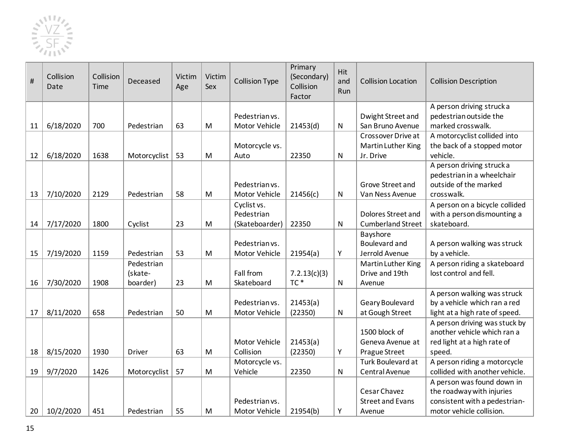![](_page_14_Picture_0.jpeg)

| $\#$ | Collision<br>Date | Collision<br>Time | Deceased      | Victim<br>Age | Victim<br>Sex | <b>Collision Type</b>     | Primary<br>(Secondary)<br>Collision<br>Factor | <b>Hit</b><br>and<br>Run | <b>Collision Location</b> | <b>Collision Description</b>                                  |
|------|-------------------|-------------------|---------------|---------------|---------------|---------------------------|-----------------------------------------------|--------------------------|---------------------------|---------------------------------------------------------------|
|      |                   |                   |               |               |               |                           |                                               |                          |                           | A person driving struck a                                     |
|      |                   |                   |               |               |               | Pedestrian vs.            |                                               |                          | Dwight Street and         | pedestrian outside the                                        |
| 11   | 6/18/2020         | 700               | Pedestrian    | 63            | M             | Motor Vehicle             | 21453(d)                                      | N                        | San Bruno Avenue          | marked crosswalk.                                             |
|      |                   |                   |               |               |               |                           |                                               |                          | Crossover Drive at        | A motorcyclist collided into                                  |
|      |                   |                   |               |               |               | Motorcycle vs.            |                                               |                          | Martin Luther King        | the back of a stopped motor                                   |
| 12   | 6/18/2020         | 1638              | Motorcyclist  | 53            | M             | Auto                      | 22350                                         | ${\sf N}$                | Jr. Drive                 | vehicle.                                                      |
|      |                   |                   |               |               |               |                           |                                               |                          |                           | A person driving strucka                                      |
|      |                   |                   |               |               |               | Pedestrian vs.            |                                               |                          | Grove Street and          | pedestrian in a wheelchair<br>outside of the marked           |
| 13   | 7/10/2020         | 2129              | Pedestrian    | 58            | M             | Motor Vehicle             | 21456(c)                                      | N                        | Van Ness Avenue           | crosswalk.                                                    |
|      |                   |                   |               |               |               |                           |                                               |                          |                           |                                                               |
|      |                   |                   |               |               |               | Cyclist vs.<br>Pedestrian |                                               |                          | Dolores Street and        | A person on a bicycle collided<br>with a person dismounting a |
| 14   | 7/17/2020         | 1800              | Cyclist       | 23            | M             | (Skateboarder)            | 22350                                         | ${\sf N}$                | <b>Cumberland Street</b>  | skateboard.                                                   |
|      |                   |                   |               |               |               |                           |                                               |                          | Bayshore                  |                                                               |
|      |                   |                   |               |               |               | Pedestrian vs.            |                                               |                          | <b>Boulevard and</b>      | A person walking was struck                                   |
| 15   | 7/19/2020         | 1159              | Pedestrian    | 53            | M             | Motor Vehicle             | 21954(a)                                      | Υ                        | Jerrold Avenue            | by a vehicle.                                                 |
|      |                   |                   | Pedestrian    |               |               |                           |                                               |                          | Martin Luther King        | A person riding a skateboard                                  |
|      |                   |                   | (skate-       |               |               | Fall from                 | 7.2.13(c)(3)                                  |                          | Drive and 19th            | lost control and fell.                                        |
| 16   | 7/30/2020         | 1908              | boarder)      | 23            | M             | Skateboard                | $TC*$                                         | $\mathsf{N}$             | Avenue                    |                                                               |
|      |                   |                   |               |               |               |                           |                                               |                          |                           | A person walking was struck                                   |
|      |                   |                   |               |               |               | Pedestrian vs.            | 21453(a)                                      |                          | Geary Boulevard           | by a vehicle which ran a red                                  |
| 17   | 8/11/2020         | 658               | Pedestrian    | 50            | M             | Motor Vehicle             | (22350)                                       | N                        | at Gough Street           | light at a high rate of speed.                                |
|      |                   |                   |               |               |               |                           |                                               |                          |                           | A person driving was stuck by                                 |
|      |                   |                   |               |               |               |                           |                                               |                          | 1500 block of             | another vehicle which ran a                                   |
|      |                   |                   |               |               |               | Motor Vehicle             | 21453(a)                                      |                          | Geneva Avenue at          | red light at a high rate of                                   |
| 18   | 8/15/2020         | 1930              | <b>Driver</b> | 63            | M             | Collision                 | (22350)                                       | Υ                        | Prague Street             | speed.                                                        |
|      |                   |                   |               |               |               | Motorcycle vs.            |                                               |                          | Turk Boulevard at         | A person riding a motorcycle                                  |
| 19   | 9/7/2020          | 1426              | Motorcyclist  | 57            | M             | Vehicle                   | 22350                                         | N                        | Central Avenue            | collided with another vehicle.                                |
|      |                   |                   |               |               |               |                           |                                               |                          |                           | A person was found down in                                    |
|      |                   |                   |               |               |               |                           |                                               |                          | Cesar Chavez              | the roadway with injuries                                     |
|      |                   |                   |               |               |               | Pedestrian vs.            |                                               |                          | <b>Street and Evans</b>   | consistent with a pedestrian-                                 |
| 20   | 10/2/2020         | 451               | Pedestrian    | 55            | M             | Motor Vehicle             | 21954(b)                                      | Υ                        | Avenue                    | motor vehicle collision.                                      |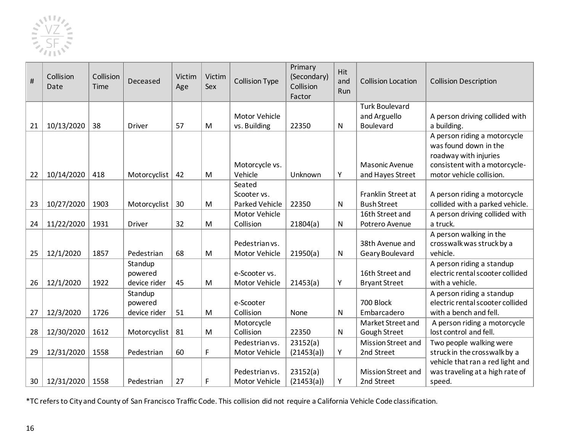![](_page_15_Picture_0.jpeg)

| #  | Collision<br>Date | Collision<br>Time | Deceased      | Victim<br>Age | Victim<br>Sex | <b>Collision Type</b>           | Primary<br>(Secondary)<br>Collision<br>Factor | Hit<br>and<br>Run | <b>Collision Location</b>        | <b>Collision Description</b>                            |
|----|-------------------|-------------------|---------------|---------------|---------------|---------------------------------|-----------------------------------------------|-------------------|----------------------------------|---------------------------------------------------------|
|    |                   |                   |               |               |               |                                 |                                               |                   | <b>Turk Boulevard</b>            |                                                         |
|    |                   |                   |               |               |               | <b>Motor Vehicle</b>            |                                               |                   | and Arguello                     | A person driving collided with                          |
| 21 | 10/13/2020        | 38                | Driver        | 57            | M             | vs. Building                    | 22350                                         | N                 | Boulevard                        | a building.                                             |
|    |                   |                   |               |               |               |                                 |                                               |                   |                                  | A person riding a motorcycle<br>was found down in the   |
|    |                   |                   |               |               |               |                                 |                                               |                   |                                  | roadway with injuries                                   |
|    |                   |                   |               |               |               | Motorcycle vs.                  |                                               |                   | Masonic Avenue                   | consistent with a motorcycle-                           |
| 22 | 10/14/2020        | 418               | Motorcyclist  | 42            | M             | Vehicle                         | Unknown                                       | Υ                 | and Hayes Street                 | motor vehicle collision.                                |
|    |                   |                   |               |               |               | Seated                          |                                               |                   |                                  |                                                         |
|    |                   |                   |               |               |               | Scooter vs.                     |                                               |                   | Franklin Street at               | A person riding a motorcycle                            |
| 23 | 10/27/2020        | 1903              | Motorcyclist  | 30            | M             | <b>Parked Vehicle</b>           | 22350                                         | N                 | <b>Bush Street</b>               | collided with a parked vehicle.                         |
|    |                   |                   |               |               |               | <b>Motor Vehicle</b>            |                                               |                   | 16th Street and                  | A person driving collided with                          |
| 24 | 11/22/2020        | 1931              | <b>Driver</b> | 32            | M             | Collision                       | 21804(a)                                      | ${\sf N}$         | Potrero Avenue                   | a truck.                                                |
|    |                   |                   |               |               |               |                                 |                                               |                   |                                  | A person walking in the                                 |
|    |                   |                   |               |               |               | Pedestrian vs.                  |                                               |                   | 38th Avenue and                  | crosswalk was struck by a                               |
| 25 | 12/1/2020         | 1857              | Pedestrian    | 68            | M             | Motor Vehicle                   | 21950(a)                                      | $\mathsf{N}$      | Geary Boulevard                  | vehicle.                                                |
|    |                   |                   | Standup       |               |               |                                 |                                               |                   |                                  | A person riding a standup                               |
|    |                   |                   | powered       |               |               | e-Scooter vs.                   |                                               |                   | 16th Street and                  | electric rental scooter collided                        |
| 26 | 12/1/2020         | 1922              | device rider  | 45            | M             | Motor Vehicle                   | 21453(a)                                      | Υ                 | <b>Bryant Street</b>             | with a vehicle.                                         |
|    |                   |                   | Standup       |               |               |                                 |                                               |                   |                                  | A person riding a standup                               |
|    |                   |                   | powered       |               |               | e-Scooter                       |                                               |                   | 700 Block                        | electric rental scooter collided                        |
| 27 | 12/3/2020         | 1726              | device rider  | 51            | M             | Collision                       | None                                          | N                 | Embarcadero                      | with a bench and fell.                                  |
|    |                   |                   |               |               |               | Motorcycle                      |                                               |                   | Market Street and                | A person riding a motorcycle                            |
| 28 | 12/30/2020        | 1612              | Motorcyclist  | 81            | M             | Collision                       | 22350                                         | ${\sf N}$         | Gough Street                     | lost control and fell.                                  |
| 29 | 12/31/2020        | 1558              | Pedestrian    | 60            | F             | Pedestrian vs.<br>Motor Vehicle | 23152(a)                                      | Υ                 | Mission Street and<br>2nd Street | Two people walking were<br>struck in the crosswalk by a |
|    |                   |                   |               |               |               |                                 | (21453(a))                                    |                   |                                  | vehicle that ran a red light and                        |
|    |                   |                   |               |               |               | Pedestrian vs.                  | 23152(a)                                      |                   | Mission Street and               | was traveling at a high rate of                         |
| 30 | 12/31/2020        | 1558              | Pedestrian    | 27            | F             | Motor Vehicle                   | (21453(a))                                    | Υ                 | 2nd Street                       | speed.                                                  |
|    |                   |                   |               |               |               |                                 |                                               |                   |                                  |                                                         |

\*TC refers to City and County of San Francisco Traffic Code. This collision did not require a California Vehicle Code classification.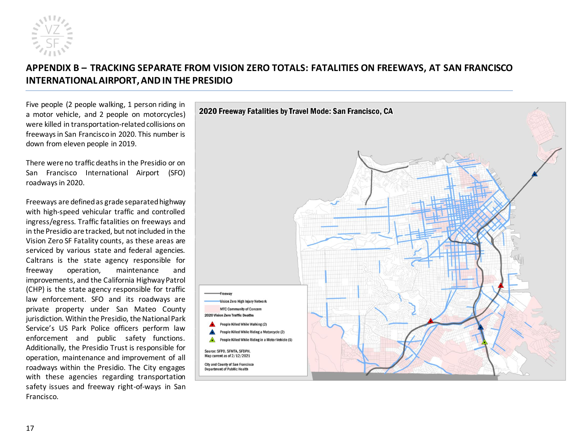![](_page_16_Picture_0.jpeg)

# **APPENDIX B – TRACKING SEPARATE FROM VISION ZERO TOTALS: FATALITIES ON FREEWAYS, AT SAN FRANCISCO INTERNATIONAL AIRPORT, AND IN THE PRESIDIO**

Five people (2 people walking, 1 person riding in a motor vehicle, and 2 people on motorcycles) were killed in transportation-related collisions on freeways in San Francisco in 2020. This number is down from eleven people in 2019.

There were no traffic deaths in the Presidio or on San Francisco International Airport (SFO) roadways in 2020.

<span id="page-16-0"></span>Freeways are defined as grade separated highway with high-speed vehicular traffic and controlled ingress/egress. Traffic fatalities on freeways and in the Presidio are tracked, but not included in the Vision Zero SF Fatality counts, as these areas are serviced by various state and federal agencies. Caltrans is the state agency responsible for freeway operation, maintenance and improvements, and the California Highway Patrol (CHP) is the state agency responsible for traffic law enforcement. SFO and its roadways are private property under San Mateo County jurisdiction. Within the Presidio, the National Park Service's US Park Police officers perform law enforcement and public safety functions. Additionally, the Presidio Trust is responsible for operation, maintenance and improvement of all roadways within the Presidio. The City engages with these agencies regarding transportation safety issues and freeway right-of-ways in San Francisco.

![](_page_16_Figure_5.jpeg)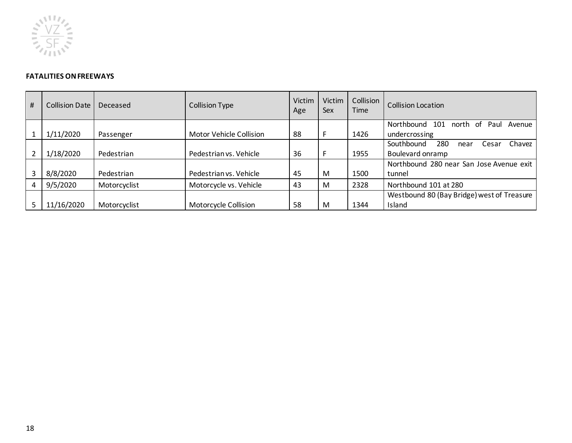![](_page_17_Picture_0.jpeg)

#### **FATALITIES ON FREEWAYS**

| # | Collision Date | Deceased     | <b>Collision Type</b>   | Victim<br>Age | Victim<br>Sex | Collision<br>Time | <b>Collision Location</b>                                        |
|---|----------------|--------------|-------------------------|---------------|---------------|-------------------|------------------------------------------------------------------|
|   | 1/11/2020      |              | Motor Vehicle Collision | 88            |               | 1426              | Northbound<br>north of<br>101<br>Paul<br>Avenue<br>undercrossing |
|   |                | Passenger    |                         |               |               |                   |                                                                  |
|   |                |              |                         |               |               |                   | Southbound<br>280<br>Chavez<br>Cesar<br>near                     |
|   | 1/18/2020      | Pedestrian   | Pedestrian vs. Vehicle  | 36            |               | 1955              | Boulevard onramp                                                 |
|   |                |              |                         |               |               |                   | Northbound 280 near San Jose Avenue exit                         |
| 3 | 8/8/2020       | Pedestrian   | Pedestrian vs. Vehicle  | 45            | M             | 1500              | tunnel                                                           |
| 4 | 9/5/2020       | Motorcyclist | Motorcycle vs. Vehicle  | 43            | M             | 2328              | Northbound 101 at 280                                            |
|   |                |              |                         |               |               |                   | Westbound 80 (Bay Bridge) west of Treasure                       |
|   | 11/16/2020     | Motorcyclist | Motorcycle Collision    | 58            | м             | 1344              | Island                                                           |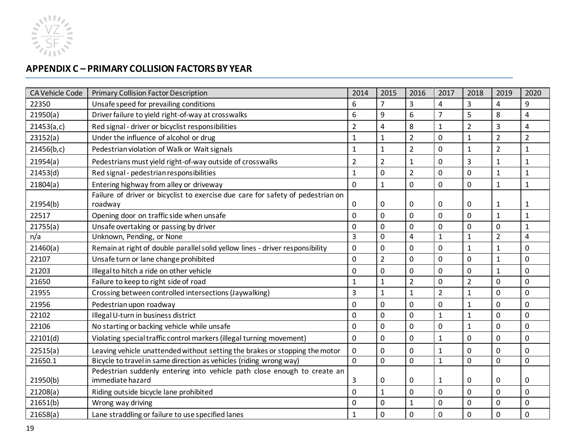![](_page_18_Picture_0.jpeg)

# **APPENDIX C – PRIMARY COLLISION FACTORS BY YEAR**

<span id="page-18-0"></span>

| <b>CA Vehicle Code</b> | <b>Primary Collision Factor Description</b>                                                  | 2014           | 2015           | 2016           | 2017           | 2018           | 2019                    | 2020                    |
|------------------------|----------------------------------------------------------------------------------------------|----------------|----------------|----------------|----------------|----------------|-------------------------|-------------------------|
| 22350                  | Unsafe speed for prevailing conditions                                                       | 6              | $\overline{7}$ | 3              | $\overline{4}$ | 3              | $\overline{\mathbf{4}}$ | 9                       |
| 21950(a)               | Driver failure to yield right-of-way at crosswalks                                           | 6              | 9              | 6              | 7              | 5              | 8                       | $\overline{\mathbf{4}}$ |
| 21453(a,c)             | Red signal - driver or bicyclist responsibilities                                            | $\overline{2}$ | 4              | 8              | $\mathbf{1}$   | $\overline{2}$ | 3                       | $\overline{4}$          |
| 23152(a)               | Under the influence of alcohol or drug                                                       | 1              | $\mathbf{1}$   | $\overline{2}$ | 0              | $\mathbf{1}$   | $\overline{2}$          | $\overline{2}$          |
| 21456(b,c)             | Pedestrian violation of Walk or Wait signals                                                 | $\mathbf{1}$   | $\mathbf{1}$   | $\overline{2}$ | 0              | $\mathbf{1}$   | $\overline{2}$          | $\mathbf 1$             |
| 21954(a)               | Pedestrians must yield right-of-way outside of crosswalks                                    | $\overline{2}$ | $\overline{2}$ | 1              | $\Omega$       | 3              | 1                       | 1                       |
| 21453(d)               | Red signal - pedestrian responsibilities                                                     | $\mathbf{1}$   | $\Omega$       | $\overline{2}$ | $\Omega$       | $\overline{0}$ | $\mathbf{1}$            | $\mathbf{1}$            |
| 21804(a)               | Entering highway from alley or driveway                                                      | $\mathbf 0$    | $\mathbf{1}$   | $\mathbf 0$    | 0              | $\mathbf 0$    | $\mathbf{1}$            | $\mathbf{1}$            |
|                        | Failure of driver or bicyclist to exercise due care for safety of pedestrian on              |                |                |                |                |                |                         |                         |
| 21954(b)               | roadway                                                                                      | 0              | 0              | 0              | 0              | 0              | $\mathbf{1}$            | 1                       |
| 22517                  | Opening door on traffic side when unsafe                                                     | $\Omega$       | $\Omega$       | $\Omega$       | $\Omega$       | $\mathbf 0$    | $\mathbf{1}$            | $\mathbf{1}$            |
| 21755(a)               | Unsafe overtaking or passing by driver                                                       | $\Omega$       | 0              | $\Omega$       | $\Omega$       | $\mathbf 0$    | 0                       | $\mathbf{1}$            |
| n/a                    | Unknown, Pending, or None                                                                    | 3              | $\Omega$       | 4              | 1              | $\mathbf{1}$   | $\overline{2}$          | $\overline{4}$          |
| 21460(a)               | Remain at right of double parallel solid yellow lines - driver responsibility                | 0              | 0              | 0              | 0              | $\mathbf{1}$   | $\overline{1}$          | $\mathbf 0$             |
| 22107                  | Unsafe turn or lane change prohibited                                                        | 0              | $\overline{2}$ | $\mathbf 0$    | $\mathbf 0$    | $\overline{0}$ | $\mathbf{1}$            | $\overline{0}$          |
| 21203                  | Illegal to hitch a ride on other vehicle                                                     | $\Omega$       | $\Omega$       | $\Omega$       | $\Omega$       | $\mathbf 0$    | 1                       | 0                       |
| 21650                  | Failure to keep to right side of road                                                        | $\mathbf{1}$   | $\mathbf{1}$   | $\overline{2}$ | $\mathbf 0$    | $\overline{2}$ | $\mathbf 0$             | $\overline{0}$          |
| 21955                  | Crossing between controlled intersections (Jaywalking)                                       | 3              | $\mathbf{1}$   | $\mathbf{1}$   | $\overline{2}$ | $\mathbf{1}$   | $\overline{0}$          | $\mathbf 0$             |
| 21956                  | Pedestrian upon roadway                                                                      | 0              | $\overline{0}$ | $\mathbf 0$    | 0              | $\mathbf{1}$   | 0                       | $\overline{0}$          |
| 22102                  | Illegal U-turn in business district                                                          | 0              | $\Omega$       | $\Omega$       | $\mathbf{1}$   | $\mathbf{1}$   | 0                       | 0                       |
| 22106                  | No starting or backing vehicle while unsafe                                                  | 0              | $\Omega$       | $\Omega$       | $\mathbf 0$    | $\mathbf{1}$   | $\mathbf 0$             | $\Omega$                |
| 22101(d)               | Violating special traffic control markers (illegal turning movement)                         | 0              | 0              | $\mathbf 0$    | $\mathbf{1}$   | 0              | 0                       | 0                       |
| 22515(a)               | Leaving vehicle unattended without setting the brakes or stopping the motor                  | 0              | 0              | 0              | 1              | 0              | 0                       | 0                       |
| 21650.1                | Bicycle to travel in same direction as vehicles (riding wrong way)                           | $\Omega$       | $\Omega$       | $\mathbf 0$    | $\mathbf{1}$   | $\Omega$       | $\Omega$                | 0                       |
| 21950(b)               | Pedestrian suddenly entering into vehicle path close enough to create an<br>immediate hazard | 3              | 0              | $\Omega$       | 1              | 0              | 0                       | 0                       |
| 21208(a)               | Riding outside bicycle lane prohibited                                                       | 0              | $\mathbf{1}$   | $\mathbf 0$    | 0              | 0              | 0                       | $\mathbf 0$             |
| 21651(b)               | Wrong way driving                                                                            | 0              | $\overline{0}$ | $\mathbf{1}$   | 0              | $\mathbf 0$    | 0                       | $\mathbf 0$             |
| 21658(a)               | Lane straddling or failure to use specified lanes                                            | 1              | 0              | 0              | $\Omega$       | $\mathbf 0$    | 0                       | $\mathbf 0$             |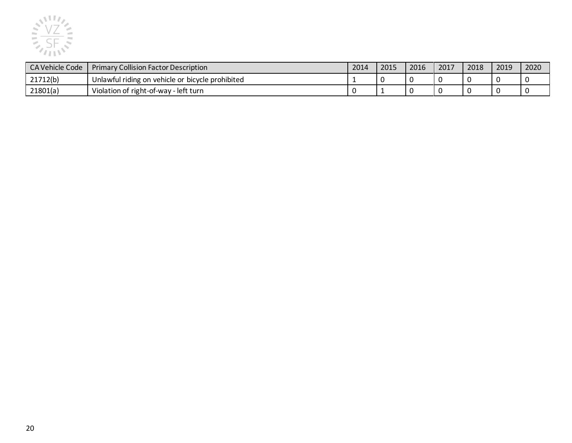![](_page_19_Picture_0.jpeg)

| CA Vehicle Code | <b>Primary Collision Factor Description</b>      | 2014 | 2015 | 2016 | 2017 | 2018 | 2019 | 2020 |
|-----------------|--------------------------------------------------|------|------|------|------|------|------|------|
| 21712(b)        | Unlawful riding on vehicle or bicycle prohibited |      |      |      |      |      |      |      |
| 21801(a)        | Violation of right-of-way - left turn            |      |      |      |      |      |      |      |